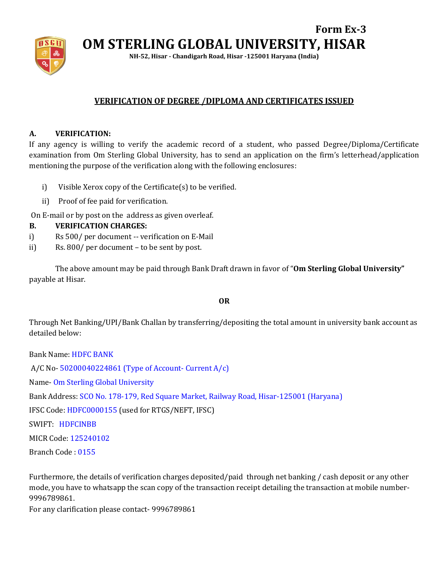

**Form Ex-3 OM STERLING GLOBAL UNIVERSITY, HISAR**

**NH-52, Hisar - Chandigarh Road, Hisar -125001 Haryana (India)**

# **VERIFICATION OF DEGREE /DIPLOMA AND CERTIFICATES ISSUED**

### **A. VERIFICATION:**

If any agency is willing to verify the academic record of a student, who passed Degree/Diploma/Certificate examination from Om Sterling Global University, has to send an application on the firm's letterhead/application mentioning the purpose of the verification along with the following enclosures:

- i) Visible Xerox copy of the Certificate(s) to be verified.
- ii) Proof of fee paid for verification.

On E-mail or by post on the address as given overleaf.

#### **B. VERIFICATION CHARGES:**

- i) Rs 500/ per document -- verification on E-Mail
- ii) Rs. 800/ per document to be sent by post.

The above amount may be paid through Bank Draft drawn in favor of "**Om Sterling Global University"** payable at Hisar.

#### **OR**

Through Net Banking/UPI/Bank Challan by transferring/depositing the total amount in university bank account as detailed below:

Bank Name: HDFC BANK A/C No- 50200040224861 (Type of Account- Current A/c) Name- Om Sterling Global University Bank Address: SCO No. 178-179, Red Square Market, Railway Road, Hisar-125001 (Haryana) IFSC Code: HDFC0000155 (used for RTGS/NEFT, IFSC) SWIFT: HDFCINBB MICR Code: 125240102 Branch Code : 0155

Furthermore, the details of verification charges deposited/paid through net banking / cash deposit or any other mode, you have to whatsapp the scan copy of the transaction receipt detailing the transaction at mobile number-9996789861.

For any clarification please contact- 9996789861